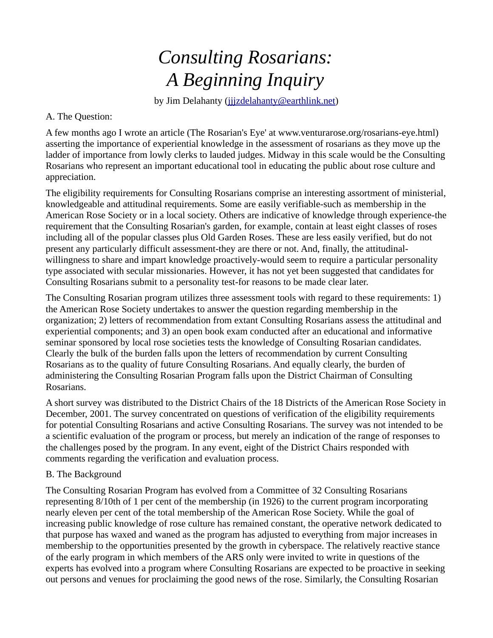## *Consulting Rosarians: A Beginning Inquiry*

by Jim Delahanty (jijzdelahanty@earthlink.net)

## A. The Question:

A few months ago I wrote an article (The Rosarian's Eye' at www.venturarose.org/rosarians-eye.html) asserting the importance of experiential knowledge in the assessment of rosarians as they move up the ladder of importance from lowly clerks to lauded judges. Midway in this scale would be the Consulting Rosarians who represent an important educational tool in educating the public about rose culture and appreciation.

The eligibility requirements for Consulting Rosarians comprise an interesting assortment of ministerial, knowledgeable and attitudinal requirements. Some are easily verifiable-such as membership in the American Rose Society or in a local society. Others are indicative of knowledge through experience-the requirement that the Consulting Rosarian's garden, for example, contain at least eight classes of roses including all of the popular classes plus Old Garden Roses. These are less easily verified, but do not present any particularly difficult assessment-they are there or not. And, finally, the attitudinalwillingness to share and impart knowledge proactively-would seem to require a particular personality type associated with secular missionaries. However, it has not yet been suggested that candidates for Consulting Rosarians submit to a personality test-for reasons to be made clear later.

The Consulting Rosarian program utilizes three assessment tools with regard to these requirements: 1) the American Rose Society undertakes to answer the question regarding membership in the organization; 2) letters of recommendation from extant Consulting Rosarians assess the attitudinal and experiential components; and 3) an open book exam conducted after an educational and informative seminar sponsored by local rose societies tests the knowledge of Consulting Rosarian candidates. Clearly the bulk of the burden falls upon the letters of recommendation by current Consulting Rosarians as to the quality of future Consulting Rosarians. And equally clearly, the burden of administering the Consulting Rosarian Program falls upon the District Chairman of Consulting Rosarians.

A short survey was distributed to the District Chairs of the 18 Districts of the American Rose Society in December, 2001. The survey concentrated on questions of verification of the eligibility requirements for potential Consulting Rosarians and active Consulting Rosarians. The survey was not intended to be a scientific evaluation of the program or process, but merely an indication of the range of responses to the challenges posed by the program. In any event, eight of the District Chairs responded with comments regarding the verification and evaluation process.

## B. The Background

The Consulting Rosarian Program has evolved from a Committee of 32 Consulting Rosarians representing 8/10th of 1 per cent of the membership (in 1926) to the current program incorporating nearly eleven per cent of the total membership of the American Rose Society. While the goal of increasing public knowledge of rose culture has remained constant, the operative network dedicated to that purpose has waxed and waned as the program has adjusted to everything from major increases in membership to the opportunities presented by the growth in cyberspace. The relatively reactive stance of the early program in which members of the ARS only were invited to write in questions of the experts has evolved into a program where Consulting Rosarians are expected to be proactive in seeking out persons and venues for proclaiming the good news of the rose. Similarly, the Consulting Rosarian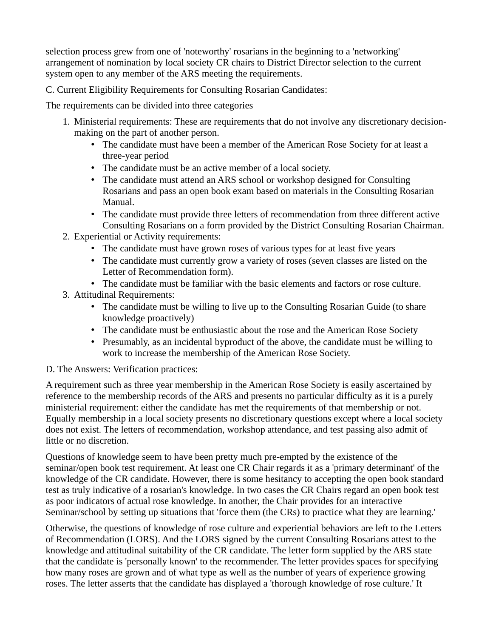selection process grew from one of 'noteworthy' rosarians in the beginning to a 'networking' arrangement of nomination by local society CR chairs to District Director selection to the current system open to any member of the ARS meeting the requirements.

C. Current Eligibility Requirements for Consulting Rosarian Candidates:

The requirements can be divided into three categories

- 1. Ministerial requirements: These are requirements that do not involve any discretionary decisionmaking on the part of another person.
	- The candidate must have been a member of the American Rose Society for at least a three-year period
	- The candidate must be an active member of a local society.
	- The candidate must attend an ARS school or workshop designed for Consulting Rosarians and pass an open book exam based on materials in the Consulting Rosarian Manual.
	- The candidate must provide three letters of recommendation from three different active Consulting Rosarians on a form provided by the District Consulting Rosarian Chairman.
- 2. Experiential or Activity requirements:
	- The candidate must have grown roses of various types for at least five years
	- The candidate must currently grow a variety of roses (seven classes are listed on the Letter of Recommendation form).
	- The candidate must be familiar with the basic elements and factors or rose culture.
- 3. Attitudinal Requirements:
	- The candidate must be willing to live up to the Consulting Rosarian Guide (to share knowledge proactively)
	- The candidate must be enthusiastic about the rose and the American Rose Society
	- Presumably, as an incidental byproduct of the above, the candidate must be willing to work to increase the membership of the American Rose Society.

## D. The Answers: Verification practices:

A requirement such as three year membership in the American Rose Society is easily ascertained by reference to the membership records of the ARS and presents no particular difficulty as it is a purely ministerial requirement: either the candidate has met the requirements of that membership or not. Equally membership in a local society presents no discretionary questions except where a local society does not exist. The letters of recommendation, workshop attendance, and test passing also admit of little or no discretion.

Questions of knowledge seem to have been pretty much pre-empted by the existence of the seminar/open book test requirement. At least one CR Chair regards it as a 'primary determinant' of the knowledge of the CR candidate. However, there is some hesitancy to accepting the open book standard test as truly indicative of a rosarian's knowledge. In two cases the CR Chairs regard an open book test as poor indicators of actual rose knowledge. In another, the Chair provides for an interactive Seminar/school by setting up situations that 'force them (the CRs) to practice what they are learning.'

Otherwise, the questions of knowledge of rose culture and experiential behaviors are left to the Letters of Recommendation (LORS). And the LORS signed by the current Consulting Rosarians attest to the knowledge and attitudinal suitability of the CR candidate. The letter form supplied by the ARS state that the candidate is 'personally known' to the recommender. The letter provides spaces for specifying how many roses are grown and of what type as well as the number of years of experience growing roses. The letter asserts that the candidate has displayed a 'thorough knowledge of rose culture.' It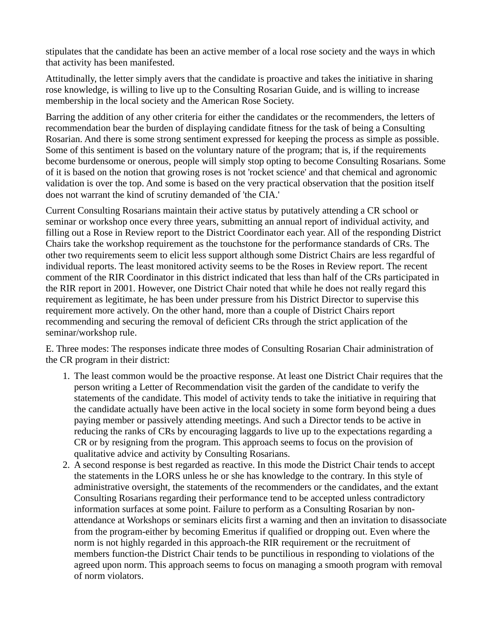stipulates that the candidate has been an active member of a local rose society and the ways in which that activity has been manifested.

Attitudinally, the letter simply avers that the candidate is proactive and takes the initiative in sharing rose knowledge, is willing to live up to the Consulting Rosarian Guide, and is willing to increase membership in the local society and the American Rose Society.

Barring the addition of any other criteria for either the candidates or the recommenders, the letters of recommendation bear the burden of displaying candidate fitness for the task of being a Consulting Rosarian. And there is some strong sentiment expressed for keeping the process as simple as possible. Some of this sentiment is based on the voluntary nature of the program; that is, if the requirements become burdensome or onerous, people will simply stop opting to become Consulting Rosarians. Some of it is based on the notion that growing roses is not 'rocket science' and that chemical and agronomic validation is over the top. And some is based on the very practical observation that the position itself does not warrant the kind of scrutiny demanded of 'the CIA.'

Current Consulting Rosarians maintain their active status by putatively attending a CR school or seminar or workshop once every three years, submitting an annual report of individual activity, and filling out a Rose in Review report to the District Coordinator each year. All of the responding District Chairs take the workshop requirement as the touchstone for the performance standards of CRs. The other two requirements seem to elicit less support although some District Chairs are less regardful of individual reports. The least monitored activity seems to be the Roses in Review report. The recent comment of the RIR Coordinator in this district indicated that less than half of the CRs participated in the RIR report in 2001. However, one District Chair noted that while he does not really regard this requirement as legitimate, he has been under pressure from his District Director to supervise this requirement more actively. On the other hand, more than a couple of District Chairs report recommending and securing the removal of deficient CRs through the strict application of the seminar/workshop rule.

E. Three modes: The responses indicate three modes of Consulting Rosarian Chair administration of the CR program in their district:

- 1. The least common would be the proactive response. At least one District Chair requires that the person writing a Letter of Recommendation visit the garden of the candidate to verify the statements of the candidate. This model of activity tends to take the initiative in requiring that the candidate actually have been active in the local society in some form beyond being a dues paying member or passively attending meetings. And such a Director tends to be active in reducing the ranks of CRs by encouraging laggards to live up to the expectations regarding a CR or by resigning from the program. This approach seems to focus on the provision of qualitative advice and activity by Consulting Rosarians.
- 2. A second response is best regarded as reactive. In this mode the District Chair tends to accept the statements in the LORS unless he or she has knowledge to the contrary. In this style of administrative oversight, the statements of the recommenders or the candidates, and the extant Consulting Rosarians regarding their performance tend to be accepted unless contradictory information surfaces at some point. Failure to perform as a Consulting Rosarian by nonattendance at Workshops or seminars elicits first a warning and then an invitation to disassociate from the program-either by becoming Emeritus if qualified or dropping out. Even where the norm is not highly regarded in this approach-the RIR requirement or the recruitment of members function-the District Chair tends to be punctilious in responding to violations of the agreed upon norm. This approach seems to focus on managing a smooth program with removal of norm violators.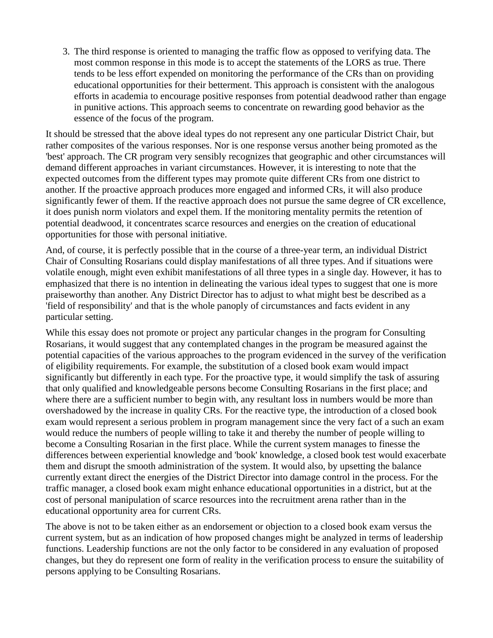3. The third response is oriented to managing the traffic flow as opposed to verifying data. The most common response in this mode is to accept the statements of the LORS as true. There tends to be less effort expended on monitoring the performance of the CRs than on providing educational opportunities for their betterment. This approach is consistent with the analogous efforts in academia to encourage positive responses from potential deadwood rather than engage in punitive actions. This approach seems to concentrate on rewarding good behavior as the essence of the focus of the program.

It should be stressed that the above ideal types do not represent any one particular District Chair, but rather composites of the various responses. Nor is one response versus another being promoted as the 'best' approach. The CR program very sensibly recognizes that geographic and other circumstances will demand different approaches in variant circumstances. However, it is interesting to note that the expected outcomes from the different types may promote quite different CRs from one district to another. If the proactive approach produces more engaged and informed CRs, it will also produce significantly fewer of them. If the reactive approach does not pursue the same degree of CR excellence, it does punish norm violators and expel them. If the monitoring mentality permits the retention of potential deadwood, it concentrates scarce resources and energies on the creation of educational opportunities for those with personal initiative.

And, of course, it is perfectly possible that in the course of a three-year term, an individual District Chair of Consulting Rosarians could display manifestations of all three types. And if situations were volatile enough, might even exhibit manifestations of all three types in a single day. However, it has to emphasized that there is no intention in delineating the various ideal types to suggest that one is more praiseworthy than another. Any District Director has to adjust to what might best be described as a 'field of responsibility' and that is the whole panoply of circumstances and facts evident in any particular setting.

While this essay does not promote or project any particular changes in the program for Consulting Rosarians, it would suggest that any contemplated changes in the program be measured against the potential capacities of the various approaches to the program evidenced in the survey of the verification of eligibility requirements. For example, the substitution of a closed book exam would impact significantly but differently in each type. For the proactive type, it would simplify the task of assuring that only qualified and knowledgeable persons become Consulting Rosarians in the first place; and where there are a sufficient number to begin with, any resultant loss in numbers would be more than overshadowed by the increase in quality CRs. For the reactive type, the introduction of a closed book exam would represent a serious problem in program management since the very fact of a such an exam would reduce the numbers of people willing to take it and thereby the number of people willing to become a Consulting Rosarian in the first place. While the current system manages to finesse the differences between experiential knowledge and 'book' knowledge, a closed book test would exacerbate them and disrupt the smooth administration of the system. It would also, by upsetting the balance currently extant direct the energies of the District Director into damage control in the process. For the traffic manager, a closed book exam might enhance educational opportunities in a district, but at the cost of personal manipulation of scarce resources into the recruitment arena rather than in the educational opportunity area for current CRs.

The above is not to be taken either as an endorsement or objection to a closed book exam versus the current system, but as an indication of how proposed changes might be analyzed in terms of leadership functions. Leadership functions are not the only factor to be considered in any evaluation of proposed changes, but they do represent one form of reality in the verification process to ensure the suitability of persons applying to be Consulting Rosarians.